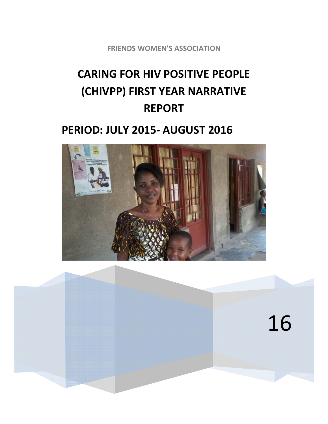**FRIENDS WOMEN'S ASSOCIATION**

# **CARING FOR HIV POSITIVE PEOPLE (CHIVPP) FIRST YEAR NARRATIVE REPORT**

# **PERIOD: JULY 2015‐ AUGUST 2016**



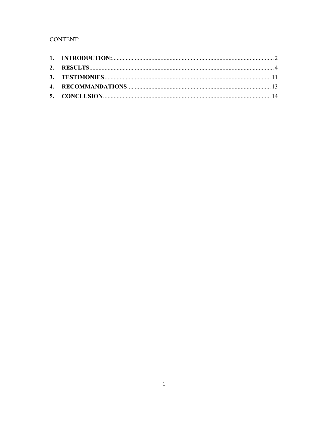# CONTENT: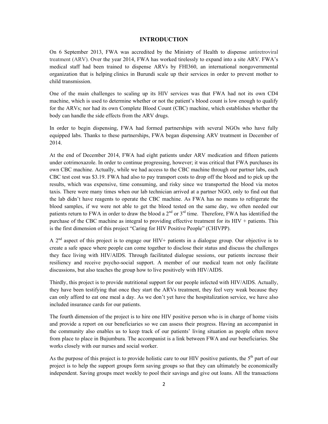#### **INTRODUCTION**

On 6 September 2013, FWA was accredited by the Ministry of Health to dispense antiretroviral treatment (ARV). Over the year 2014, FWA has worked tirelessly to expand into a site ARV. FWA's medical staff had been trained to dispense ARVs by FHI360, an international nongovernmental organization that is helping clinics in Burundi scale up their services in order to prevent mother to child transmission.

One of the main challenges to scaling up its HIV services was that FWA had not its own CD4 machine, which is used to determine whether or not the patient's blood count is low enough to qualify for the ARVs; nor had its own Complete Blood Count (CBC) machine, which establishes whether the body can handle the side effects from the ARV drugs.

In order to begin dispensing, FWA had formed partnerships with several NGOs who have fully equipped labs. Thanks to these partnerships, FWA began dispensing ARV treatment in December of 2014.

At the end of December 2014, FWA had eight patients under ARV medication and fifteen patients under cotrimoxazole. In order to continue progressing, however; it was critical that FWA purchases its own CBC machine. Actually, while we had access to the CBC machine through our partner labs, each CBC test cost was \$3.19. FWA had also to pay transport costs to drop off the blood and to pick up the results, which was expensive, time consuming, and risky since we transported the blood via motos taxis. There were many times when our lab technician arrived at a partner NGO, only to find out that the lab didn't have reagents to operate the CBC machine. As FWA has no means to refrigerate the blood samples, if we were not able to get the blood tested on the same day, we often needed our patients return to FWA in order to draw the blood a  $2^{nd}$  or  $3^{rd}$  time. Therefore, FWA has identified the purchase of the CBC machine as integral to providing effective treatment for its HIV + patients. This is the first dimension of this project "Caring for HIV Positive People" (CHIVPP).

A 2<sup>nd</sup> aspect of this project is to engage our HIV+ patients in a dialogue group. Our objective is to create a safe space where people can come together to disclose their status and discuss the challenges they face living with HIV/AIDS. Through facilitated dialogue sessions, our patients increase their resiliency and receive psycho-social support. A member of our medical team not only facilitate discussions, but also teaches the group how to live positively with HIV/AIDS.

Thirdly, this project is to provide nutritional support for our people infected with HIV/AIDS. Actually, they have been testifying that once they start the ARVs treatment, they feel very weak because they can only afford to eat one meal a day. As we don't yet have the hospitalization service, we have also included insurance cards for our patients.

The fourth dimension of the project is to hire one HIV positive person who is in charge of home visits and provide a report on our beneficiaries so we can assess their progress. Having an accompanist in the community also enables us to keep track of our patients' living situation as people often move from place to place in Bujumbura. The accompanist is a link between FWA and our beneficiaries. She works closely with our nurses and social worker.

As the purpose of this project is to provide holistic care to our HIV positive patients, the  $5<sup>th</sup>$  part of our project is to help the support groups form saving groups so that they can ultimately be economically independent. Saving groups meet weekly to pool their savings and give out loans. All the transactions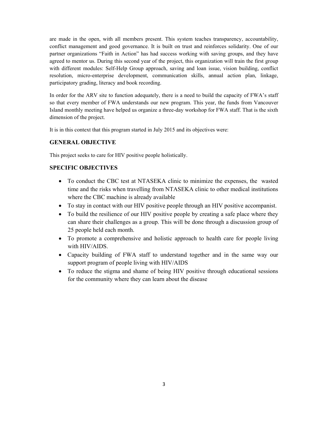are made in the open, with all members present. This system teaches transparency, accountability, conflict management and good governance. It is built on trust and reinforces solidarity. One of our partner organizations "Faith in Action" has had success working with saving groups, and they have agreed to mentor us. During this second year of the project, this organization will train the first group with different modules: Self-Help Group approach, saving and loan issue, vision building, conflict resolution, micro-enterprise development, communication skills, annual action plan, linkage, participatory grading, literacy and book recording.

In order for the ARV site to function adequately, there is a need to build the capacity of FWA's staff so that every member of FWA understands our new program. This year, the funds from Vancouver Island monthly meeting have helped us organize a three-day workshop for FWA staff. That is the sixth dimension of the project.

It is in this context that this program started in July 2015 and its objectives were:

#### **GENERAL OBJECTIVE**

This project seeks to care for HIV positive people holistically.

## **SPECIFIC OBJECTIVES**

- To conduct the CBC test at NTASEKA clinic to minimize the expenses, the wasted time and the risks when travelling from NTASEKA clinic to other medical institutions where the CBC machine is already available
- To stay in contact with our HIV positive people through an HIV positive accompanist.
- To build the resilience of our HIV positive people by creating a safe place where they can share their challenges as a group. This will be done through a discussion group of 25 people held each month.
- To promote a comprehensive and holistic approach to health care for people living with HIV/AIDS.
- Capacity building of FWA staff to understand together and in the same way our support program of people living with HIV/AIDS
- To reduce the stigma and shame of being HIV positive through educational sessions for the community where they can learn about the disease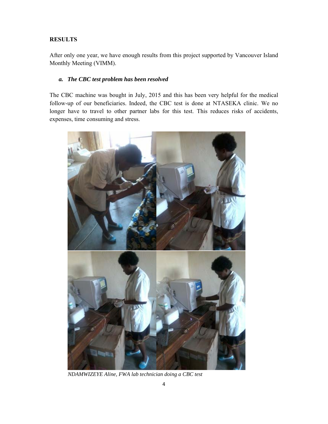## **RESULTS**

After only one year, we have enough results from this project supported by Vancouver Island Monthly Meeting (VIMM).

#### *a. The CBC test problem has been resolved*

The CBC machine was bought in July, 2015 and this has been very helpful for the medical follow-up of our beneficiaries. Indeed, the CBC test is done at NTASEKA clinic. We no longer have to travel to other partner labs for this test. This reduces risks of accidents, expenses, time consuming and stress.



*NDAMWIZEYE Aline, FWA lab technician doing a CBC test*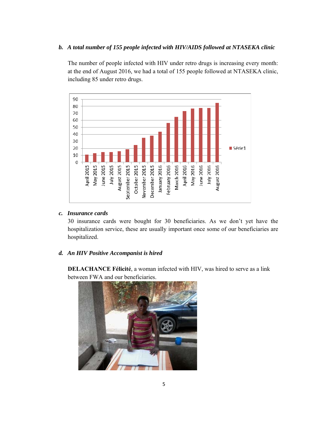#### *b. A total number of 155 people infected with HIV/AIDS followed at NTASEKA clinic*

The number of people infected with HIV under retro drugs is increasing every month: at the end of August 2016, we had a total of 155 people followed at NTASEKA clinic, including 85 under retro drugs.



#### *c. Insurance cards*

30 insurance cards were bought for 30 beneficiaries. As we don't yet have the hospitalization service, these are usually important once some of our beneficiaries are hospitalized.

#### *d. An HIV Positive Accompanist is hired*

**DELACHANCE Félicité**, a woman infected with HIV, was hired to serve as a link between FWA and our beneficiaries.

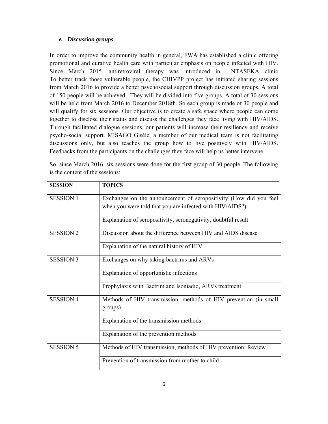#### *e. Discussion groups*

In order to improve the community health in general, FWA has established a clinic offering promotional and curative health care with particular emphasis on people infected with HIV. Since March 2015, antiretroviral therapy was introduced in NTASEKA clinic To better track those vulnerable people, the CHIVPP project has initiated sharing sessions from March 2016 to provide a better psychosocial support through discussion groups. A total of 150 people will be achieved. They will be divided into five groups. A total of 30 sessions will be held from March 2016 to December 2018th. So each group is made of 30 people and will qualify for six sessions. Our objective is to create a safe space where people can come together to disclose their status and discuss the challenges they face living with HIV/AIDS. Through facilitated dialogue sessions, our patients will increase their resiliency and receive psycho-social support. MISAGO Gisèle, a member of our medical team is not facilitating discussions only, but also teaches the group how to live positively with HIV/AIDS. Feedbacks from the participants on the challenges they face will help us better intervene.

So, since March 2016, six sessions were done for the first group of 30 people. The following is the content of the sessions:

| <b>SESSION</b>   | <b>TOPICS</b>                                                      |
|------------------|--------------------------------------------------------------------|
| <b>SESSION 1</b> | Exchanges on the announcement of seropositivity (How did you feel) |
|                  | when you were told that you are infected with HIV/AIDS?)           |
|                  | Explanation of seropositivity, seronegativity, doubtful result     |
| <b>SESSION 2</b> | Discussion about the difference between HIV and AIDS disease       |
|                  | Explanation of the natural history of HIV                          |
| <b>SESSION 3</b> | Exchanges on why taking bactrims and ARVs                          |
|                  | Explanation of opportunistic infections                            |
|                  | Prophylaxis with Bactrim and Isoniadid, ARVs treatment             |
| <b>SESSION 4</b> | Methods of HIV transmission, methods of HIV prevention (in small   |
|                  | groups)                                                            |
|                  | Explanation of the transmission methods                            |
|                  | Explanation of the prevention methods                              |
| <b>SESSION 5</b> | Methods of HIV transmission, methods of HIV prevention: Review     |
|                  | Prevention of transmission from mother to child                    |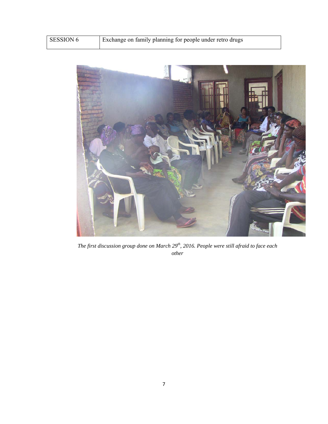|  | <b>SESSION 6</b> | Exchange on family planning for people under retro drugs |
|--|------------------|----------------------------------------------------------|
|--|------------------|----------------------------------------------------------|



*The first discussion group done on March 29th, 2016. People were still afraid to face each other*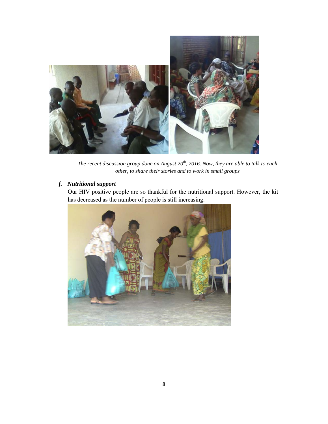

The recent discussion group done on August 20<sup>th</sup>, 2016. Now, they are able to talk to each *other, to share their stories and to work in small groups* 

# *f. Nutritional support*

Our HIV positive people are so thankful for the nutritional support. However, the kit has decreased as the number of people is still increasing.

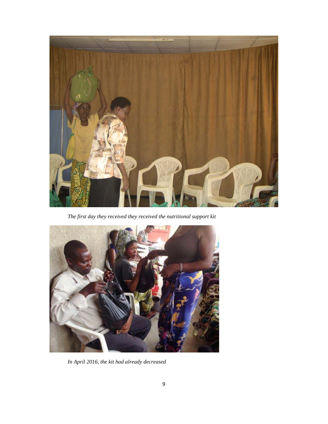

*The first day they received they received the nutritional support kit* 



*In April 2016, the kit had already decreased*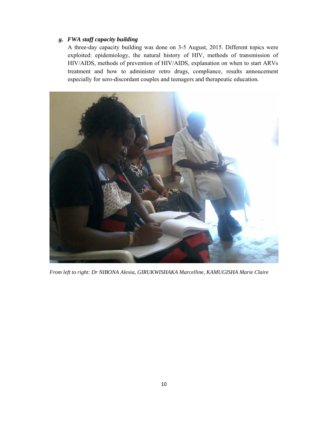# *g. FWA staff capacity building*

A three-day capacity building was done on 3-5 August, 2015. Different topics were exploited: epidemiology, the natural history of HIV, methods of transmission of HIV/AIDS, methods of prevention of HIV/AIDS, explanation on when to start ARVs treatment and how to administer retro drugs, compliance, results annoucement especially for sero-discordant couples and teenagers and therapeutic education.



*From left to right: Dr NIBONA Alexia, GIRUKWISHAKA Marcelline, KAMUGISHA Marie Claire*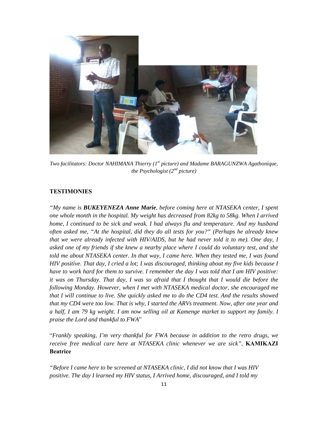

*Two facilitators: Doctor NAHIMANA Thierry (1st picture) and Madame BARAGUNZWA Agathonique, the Psychologist (2nd picture)*

#### **TESTIMONIES**

*"My name is BUKEYENEZA Anne Marie, before coming here at NTASEKA center, I spent one whole month in the hospital. My weight has decreased from 82kg to 58kg. When I arrived home, I continued to be sick and weak. I had always flu and temperature. And my husband often asked me, "At the hospital, did they do all tests for you?" (Perhaps he already knew that we were already infected with HIV/AIDS, but he had never told it to me). One day, I asked one of my friends if she knew a nearby place where I could do voluntary test, and she told me about NTASEKA center. In that way, I came here. When they tested me, I was found HIV positive. That day, I cried a lot; I was discouraged, thinking about my five kids because I have to work hard for them to survive. I remember the day I was told that I am HIV positive: it was on Thursday. That day, I was so afraid that I thought that I would die before the following Monday. However, when I met with NTASEKA medical doctor, she encouraged me that I will continue to live. She quickly asked me to do the CD4 test. And the results showed that my CD4 were too low. That is why, I started the ARVs treatment. Now, after one year and a half, I am 79 kg weight. I am now selling oil at Kamenge market to support my family. I praise the Lord and thankful to FWA*"

"*Frankly speaking, I'm very thankful for FWA because in addition to the retro drugs, we receive free medical care here at NTASEKA clinic whenever we are sick"*, **KAMIKAZI Beatrice** 

*"Before I came here to be screened at NTASEKA clinic, I did not know that I was HIV positive. The day I learned my HIV status, I Arrived home, discouraged, and I told my*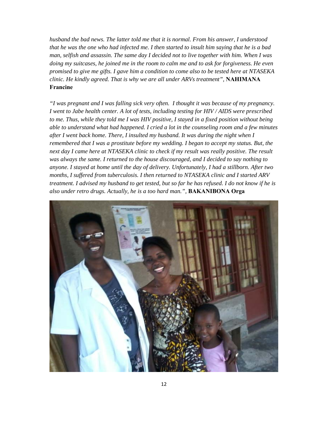*husband the bad news. The latter told me that it is normal. From his answer, I understood that he was the one who had infected me. I then started to insult him saying that he is a bad man, selfish and assassin. The same day I decided not to live together with him. When I was doing my suitcases, he joined me in the room to calm me and to ask for forgiveness. He even promised to give me gifts. I gave him a condition to come also to be tested here at NTASEKA clinic. He kindly agreed. That is why we are all under ARVs treatment",* **NAHIMANA Francine**

*"I was pregnant and I was falling sick very often. I thought it was because of my pregnancy. I went to Jabe health center. A lot of tests, including testing for HIV / AIDS were prescribed to me. Thus, while they told me I was HIV positive, I stayed in a fixed position without being able to understand what had happened. I cried a lot in the counseling room and a few minutes after I went back home. There, I insulted my husband. It was during the night when I remembered that I was a prostitute before my wedding. I began to accept my status. But, the next day I came here at NTASEKA clinic to check if my result was really positive. The result was always the same. I returned to the house discouraged, and I decided to say nothing to anyone. I stayed at home until the day of delivery. Unfortunately, I had a stillborn. After two months, I suffered from tuberculosis. I then returned to NTASEKA clinic and I started ARV treatment. I advised my husband to get tested, but so far he has refused. I do not know if he is also under retro drugs. Actually, he is a too hard man.",* **BAKANIBONA Orga** 

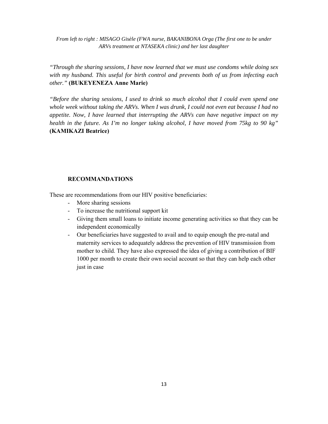*From left to right : MISAGO Gisèle (FWA nurse, BAKANIBONA Orga (The first one to be under ARVs treatment at NTASEKA clinic) and her last daughter* 

*"Through the sharing sessions, I have now learned that we must use condoms while doing sex with my husband. This useful for birth control and prevents both of us from infecting each other."* **(BUKEYENEZA Anne Marie)**

*"Before the sharing sessions, I used to drink so much alcohol that I could even spend one whole week without taking the ARVs. When I was drunk, I could not even eat because I had no appetite. Now, I have learned that interrupting the ARVs can have negative impact on my health in the future. As I'm no longer taking alcohol, I have moved from 75kg to 90 kg"*  **(KAMIKAZI Beatrice)**

#### **RECOMMANDATIONS**

These are recommendations from our HIV positive beneficiaries:

- More sharing sessions
- To increase the nutritional support kit
- Giving them small loans to initiate income generating activities so that they can be independent economically
- Our beneficiaries have suggested to avail and to equip enough the pre-natal and maternity services to adequately address the prevention of HIV transmission from mother to child. They have also expressed the idea of giving a contribution of BIF 1000 per month to create their own social account so that they can help each other just in case